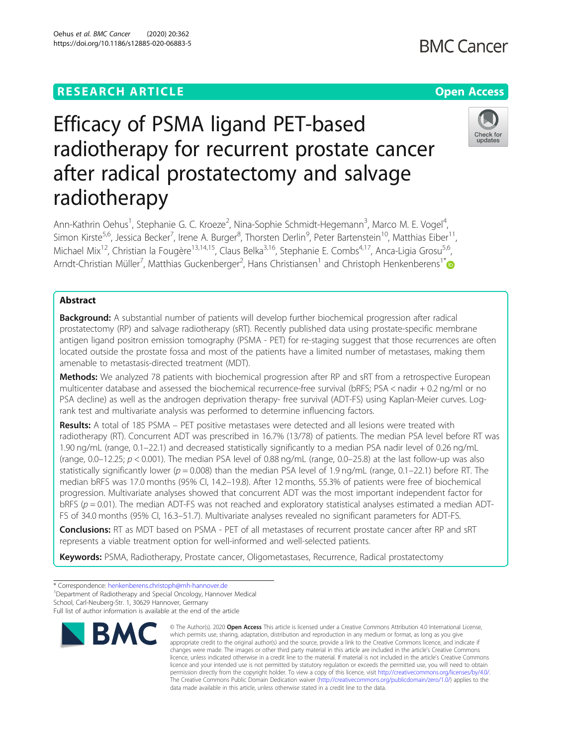# Efficacy of PSMA ligand PET-based radiotherapy for recurrent prostate cancer after radical prostatectomy and salvage radiotherapy

Ann-Kathrin Oehus<sup>1</sup>, Stephanie G. C. Kroeze<sup>2</sup>, Nina-Sophie Schmidt-Hegemann<sup>3</sup>, Marco M. E. Vogel<sup>4</sup> , Simon Kirste<sup>5,6</sup>, Jessica Becker<sup>7</sup>, Irene A. Burger<sup>8</sup>, Thorsten Derlin<sup>9</sup>, Peter Bartenstein<sup>10</sup>, Matthias Eiber<sup>11</sup>, Michael Mix<sup>12</sup>, Christian la Fougère<sup>13,14,15</sup>, Claus Belka<sup>3,16</sup>, Stephanie E. Combs<sup>4,17</sup>, Anca-Ligia Grosu<sup>5,6</sup>, Arndt-Christian Müller<sup>7</sup>, Matthias Guckenberger<sup>2</sup>, Hans Christiansen<sup>1</sup> and Christoph Henkenberens<sup>1[\\*](http://orcid.org/0000-0002-0721-5683)</sup>

## Abstract

Background: A substantial number of patients will develop further biochemical progression after radical prostatectomy (RP) and salvage radiotherapy (sRT). Recently published data using prostate-specific membrane antigen ligand positron emission tomography (PSMA - PET) for re-staging suggest that those recurrences are often located outside the prostate fossa and most of the patients have a limited number of metastases, making them amenable to metastasis-directed treatment (MDT).

**Methods:** We analyzed 78 patients with biochemical progression after RP and sRT from a retrospective European multicenter database and assessed the biochemical recurrence-free survival (bRFS; PSA < nadir + 0.2 ng/ml or no PSA decline) as well as the androgen deprivation therapy- free survival (ADT-FS) using Kaplan-Meier curves. Logrank test and multivariate analysis was performed to determine influencing factors.

Results: A total of 185 PSMA – PET positive metastases were detected and all lesions were treated with radiotherapy (RT). Concurrent ADT was prescribed in 16.7% (13/78) of patients. The median PSA level before RT was 1.90 ng/mL (range, 0.1–22.1) and decreased statistically significantly to a median PSA nadir level of 0.26 ng/mL (range, 0.0–12.25;  $p < 0.001$ ). The median PSA level of 0.88 ng/mL (range, 0.0–25.8) at the last follow-up was also statistically significantly lower ( $p = 0.008$ ) than the median PSA level of 1.9 ng/mL (range, 0.1–22.1) before RT. The median bRFS was 17.0 months (95% CI, 14.2–19.8). After 12 months, 55.3% of patients were free of biochemical progression. Multivariate analyses showed that concurrent ADT was the most important independent factor for  $bRFS$  ( $p = 0.01$ ). The median ADT-FS was not reached and exploratory statistical analyses estimated a median ADT-FS of 34.0 months (95% CI, 16.3–51.7). Multivariate analyses revealed no significant parameters for ADT-FS.

Conclusions: RT as MDT based on PSMA - PET of all metastases of recurrent prostate cancer after RP and sRT represents a viable treatment option for well-informed and well-selected patients.

Keywords: PSMA, Radiotherapy, Prostate cancer, Oligometastases, Recurrence, Radical prostatectomy

<sup>1</sup>Department of Radiotherapy and Special Oncology, Hannover Medical

Full list of author information is available at the end of the article



<sup>©</sup> The Author(s), 2020 **Open Access** This article is licensed under a Creative Commons Attribution 4.0 International License, which permits use, sharing, adaptation, distribution and reproduction in any medium or format, as long as you give appropriate credit to the original author(s) and the source, provide a link to the Creative Commons licence, and indicate if changes were made. The images or other third party material in this article are included in the article's Creative Commons licence, unless indicated otherwise in a credit line to the material. If material is not included in the article's Creative Commons licence and your intended use is not permitted by statutory regulation or exceeds the permitted use, you will need to obtain permission directly from the copyright holder. To view a copy of this licence, visit [http://creativecommons.org/licenses/by/4.0/.](http://creativecommons.org/licenses/by/4.0/) The Creative Commons Public Domain Dedication waiver [\(http://creativecommons.org/publicdomain/zero/1.0/](http://creativecommons.org/publicdomain/zero/1.0/)) applies to the data made available in this article, unless otherwise stated in a credit line to the data.



<sup>\*</sup> Correspondence: [henkenberens.christoph@mh-hannover.de](mailto:henkenberens.christoph@mh-hannover.de) <sup>1</sup>

School, Carl-Neuberg-Str. 1, 30629 Hannover, Germany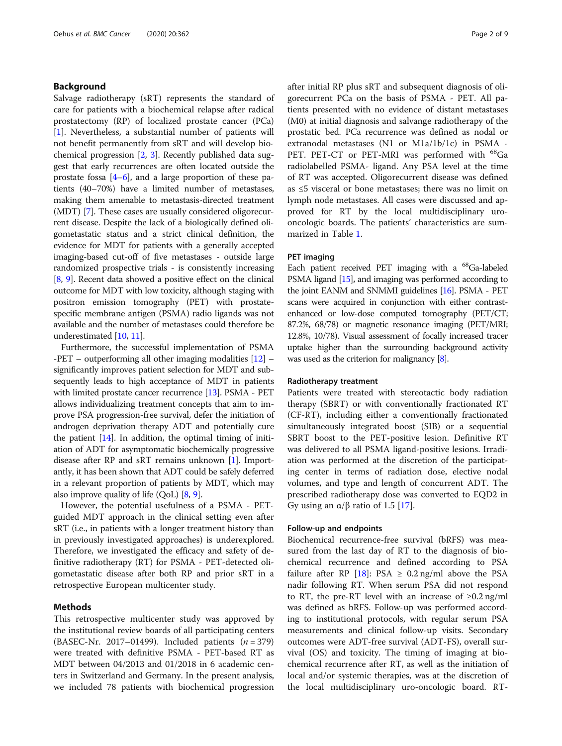## Background

Salvage radiotherapy (sRT) represents the standard of care for patients with a biochemical relapse after radical prostatectomy (RP) of localized prostate cancer (PCa) [[1\]](#page-7-0). Nevertheless, a substantial number of patients will not benefit permanently from sRT and will develop biochemical progression [\[2,](#page-7-0) [3](#page-7-0)]. Recently published data suggest that early recurrences are often located outside the prostate fossa [\[4](#page-7-0)–[6\]](#page-8-0), and a large proportion of these patients (40–70%) have a limited number of metastases, making them amenable to metastasis-directed treatment (MDT) [\[7](#page-8-0)]. These cases are usually considered oligorecurrent disease. Despite the lack of a biologically defined oligometastatic status and a strict clinical definition, the evidence for MDT for patients with a generally accepted imaging-based cut-off of five metastases - outside large randomized prospective trials - is consistently increasing [[8,](#page-8-0) [9\]](#page-8-0). Recent data showed a positive effect on the clinical outcome for MDT with low toxicity, although staging with positron emission tomography (PET) with prostatespecific membrane antigen (PSMA) radio ligands was not available and the number of metastases could therefore be underestimated [\[10](#page-8-0), [11](#page-8-0)].

Furthermore, the successful implementation of PSMA -PET – outperforming all other imaging modalities [[12\]](#page-8-0) – significantly improves patient selection for MDT and subsequently leads to high acceptance of MDT in patients with limited prostate cancer recurrence [\[13](#page-8-0)]. PSMA - PET allows individualizing treatment concepts that aim to improve PSA progression-free survival, defer the initiation of androgen deprivation therapy ADT and potentially cure the patient  $[14]$ . In addition, the optimal timing of initiation of ADT for asymptomatic biochemically progressive disease after RP and sRT remains unknown [\[1\]](#page-7-0). Importantly, it has been shown that ADT could be safely deferred in a relevant proportion of patients by MDT, which may also improve quality of life (QoL) [\[8,](#page-8-0) [9](#page-8-0)].

However, the potential usefulness of a PSMA - PETguided MDT approach in the clinical setting even after sRT (i.e., in patients with a longer treatment history than in previously investigated approaches) is underexplored. Therefore, we investigated the efficacy and safety of definitive radiotherapy (RT) for PSMA - PET-detected oligometastatic disease after both RP and prior sRT in a retrospective European multicenter study.

## Methods

This retrospective multicenter study was approved by the institutional review boards of all participating centers (BASEC-Nr. 2017–01499). Included patients  $(n = 379)$ were treated with definitive PSMA - PET-based RT as MDT between 04/2013 and 01/2018 in 6 academic centers in Switzerland and Germany. In the present analysis, we included 78 patients with biochemical progression after initial RP plus sRT and subsequent diagnosis of oligorecurrent PCa on the basis of PSMA - PET. All patients presented with no evidence of distant metastases (M0) at initial diagnosis and salvange radiotherapy of the prostatic bed. PCa recurrence was defined as nodal or extranodal metastases (N1 or M1a/1b/1c) in PSMA - PET. PET-CT or PET-MRI was performed with <sup>68</sup>Ga radiolabelled PSMA- ligand. Any PSA level at the time of RT was accepted. Oligorecurrent disease was defined as ≤5 visceral or bone metastases; there was no limit on lymph node metastases. All cases were discussed and approved for RT by the local multidisciplinary urooncologic boards. The patients' characteristics are summarized in Table [1](#page-2-0).

## PET imaging

Each patient received PET imaging with a <sup>68</sup>Ga-labeled PSMA ligand [\[15\]](#page-8-0), and imaging was performed according to the joint EANM and SNMMI guidelines [\[16\]](#page-8-0). PSMA - PET scans were acquired in conjunction with either contrastenhanced or low-dose computed tomography (PET/CT; 87.2%, 68/78) or magnetic resonance imaging (PET/MRI; 12.8%, 10/78). Visual assessment of focally increased tracer uptake higher than the surrounding background activity was used as the criterion for malignancy [\[8\]](#page-8-0).

### Radiotherapy treatment

Patients were treated with stereotactic body radiation therapy (SBRT) or with conventionally fractionated RT (CF-RT), including either a conventionally fractionated simultaneously integrated boost (SIB) or a sequential SBRT boost to the PET-positive lesion. Definitive RT was delivered to all PSMA ligand-positive lesions. Irradiation was performed at the discretion of the participating center in terms of radiation dose, elective nodal volumes, and type and length of concurrent ADT. The prescribed radiotherapy dose was converted to EQD2 in Gy using an  $\alpha/\beta$  ratio of 1.5 [[17](#page-8-0)].

#### Follow-up and endpoints

Biochemical recurrence-free survival (bRFS) was measured from the last day of RT to the diagnosis of biochemical recurrence and defined according to PSA failure after RP [[18](#page-8-0)]: PSA  $\geq$  0.2 ng/ml above the PSA nadir following RT. When serum PSA did not respond to RT, the pre-RT level with an increase of  $\geq 0.2$  ng/ml was defined as bRFS. Follow-up was performed according to institutional protocols, with regular serum PSA measurements and clinical follow-up visits. Secondary outcomes were ADT-free survival (ADT-FS), overall survival (OS) and toxicity. The timing of imaging at biochemical recurrence after RT, as well as the initiation of local and/or systemic therapies, was at the discretion of the local multidisciplinary uro-oncologic board. RT-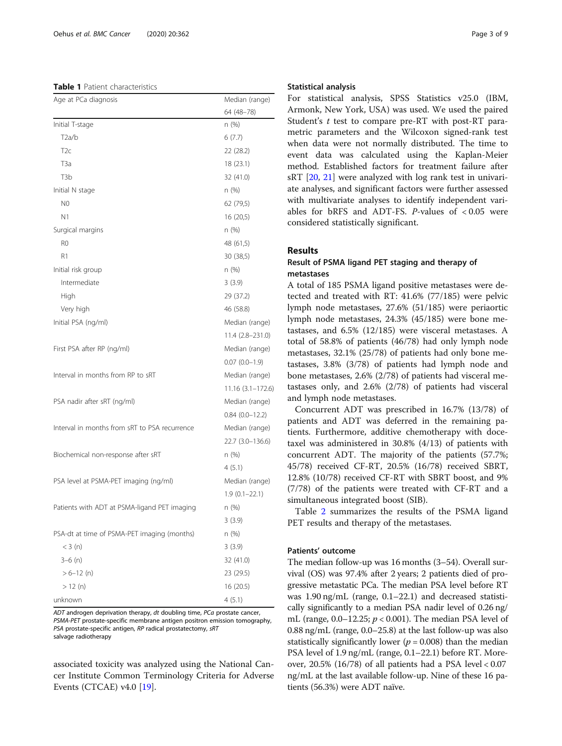#### <span id="page-2-0"></span>Table 1 Patient characteristics

| Age at PCa diagnosis                          | Median (range)    |
|-----------------------------------------------|-------------------|
|                                               | 64 (48-78)        |
| Initial T-stage                               | n (%)             |
| T2a/b                                         | 6(7.7)            |
| T <sub>2c</sub>                               | 22 (28.2)         |
| T3a                                           | 18 (23.1)         |
| T3b                                           | 32 (41.0)         |
| Initial N stage                               | n (%)             |
| N <sub>0</sub>                                | 62 (79,5)         |
| N <sub>1</sub>                                | 16 (20,5)         |
| Surgical margins                              | n (%)             |
| R <sub>0</sub>                                | 48 (61,5)         |
| R1                                            | 30 (38,5)         |
| Initial risk group                            | n (%)             |
| Intermediate                                  | 3(3.9)            |
| High                                          | 29 (37.2)         |
| Very high                                     | 46 (58.8)         |
| Initial PSA (ng/ml)                           | Median (range)    |
|                                               | $11.4(2.8-231.0)$ |
| First PSA after RP (ng/ml)                    | Median (range)    |
|                                               | $0.07(0.0-1.9)$   |
| Interval in months from RP to sRT             | Median (range)    |
|                                               | 11.16 (3.1-172.6) |
| PSA nadir after sRT (ng/ml)                   | Median (range)    |
|                                               | $0.84(0.0-12.2)$  |
| Interval in months from sRT to PSA recurrence | Median (range)    |
|                                               | 22.7 (3.0-136.6)  |
| Biochemical non-response after sRT            | n (%)             |
|                                               | 4(5.1)            |
| PSA level at PSMA-PET imaging (ng/ml)         | Median (range)    |
|                                               | $1.9(0.1 - 22.1)$ |
| Patients with ADT at PSMA-ligand PET imaging  | n (%)             |
|                                               | 3(3.9)            |
| PSA-dt at time of PSMA-PET imaging (months)   | n (%)             |
| $<$ 3 (n)                                     | 3(3.9)            |
| $3-6$ (n)                                     | 32 (41.0)         |
| $> 6 - 12$ (n)                                | 23 (29.5)         |
| > 12 (n)                                      | 16 (20.5)         |
| unknown                                       | 4(5.1)            |

ADT androgen deprivation therapy, dt doubling time, PCa prostate cancer, PSMA-PET prostate-specific membrane antigen positron emission tomography, PSA prostate-specific antigen, RP radical prostatectomy, sRT salvage radiotherapy

associated toxicity was analyzed using the National Cancer Institute Common Terminology Criteria for Adverse Events (CTCAE)  $v4.0$  [[19](#page-8-0)].

## Statistical analysis

For statistical analysis, SPSS Statistics v25.0 (IBM, Armonk, New York, USA) was used. We used the paired Student's t test to compare pre-RT with post-RT parametric parameters and the Wilcoxon signed-rank test when data were not normally distributed. The time to event data was calculated using the Kaplan-Meier method. Established factors for treatment failure after sRT [\[20](#page-8-0), [21](#page-8-0)] were analyzed with log rank test in univariate analyses, and significant factors were further assessed with multivariate analyses to identify independent variables for bRFS and ADT-FS.  $P$ -values of <0.05 were considered statistically significant.

## Results

## Result of PSMA ligand PET staging and therapy of metastases

A total of 185 PSMA ligand positive metastases were detected and treated with RT: 41.6% (77/185) were pelvic lymph node metastases, 27.6% (51/185) were periaortic lymph node metastases, 24.3% (45/185) were bone metastases, and 6.5% (12/185) were visceral metastases. A total of 58.8% of patients (46/78) had only lymph node metastases, 32.1% (25/78) of patients had only bone metastases, 3.8% (3/78) of patients had lymph node and bone metastases, 2.6% (2/78) of patients had visceral metastases only, and 2.6% (2/78) of patients had visceral and lymph node metastases.

Concurrent ADT was prescribed in 16.7% (13/78) of patients and ADT was deferred in the remaining patients. Furthermore, additive chemotherapy with docetaxel was administered in 30.8% (4/13) of patients with concurrent ADT. The majority of the patients (57.7%; 45/78) received CF-RT, 20.5% (16/78) received SBRT, 12.8% (10/78) received CF-RT with SBRT boost, and 9% (7/78) of the patients were treated with CF-RT and a simultaneous integrated boost (SIB).

Table [2](#page-3-0) summarizes the results of the PSMA ligand PET results and therapy of the metastases.

## Patients' outcome

The median follow-up was 16 months (3–54). Overall survival (OS) was 97.4% after 2 years; 2 patients died of progressive metastatic PCa. The median PSA level before RT was 1.90 ng/mL (range, 0.1–22.1) and decreased statistically significantly to a median PSA nadir level of 0.26 ng/ mL (range,  $0.0-12.25$ ;  $p < 0.001$ ). The median PSA level of 0.88 ng/mL (range, 0.0–25.8) at the last follow-up was also statistically significantly lower ( $p = 0.008$ ) than the median PSA level of 1.9 ng/mL (range, 0.1–22.1) before RT. Moreover, 20.5% (16/78) of all patients had a PSA level < 0.07 ng/mL at the last available follow-up. Nine of these 16 patients (56.3%) were ADT naïve.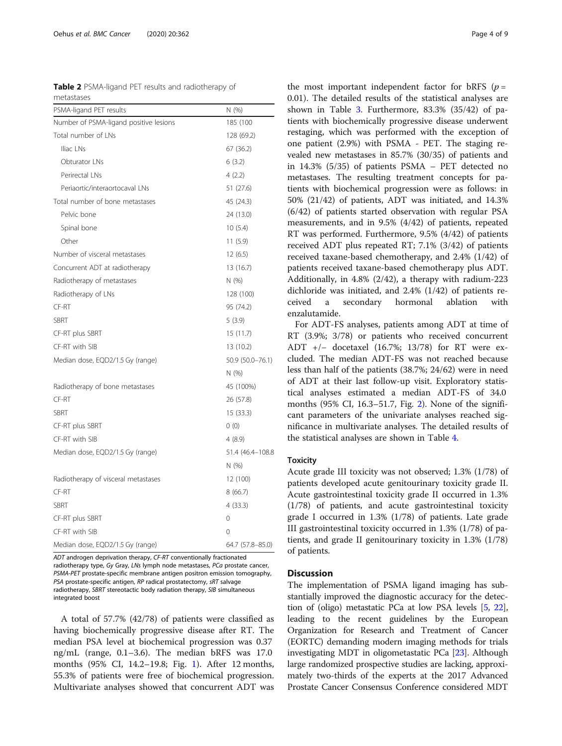<span id="page-3-0"></span>

|            |  |  |  | <b>Table 2</b> PSMA-ligand PET results and radiotherapy of |  |
|------------|--|--|--|------------------------------------------------------------|--|
| metastases |  |  |  |                                                            |  |

| PSMA-ligand PET results                | N (%)            |  |  |
|----------------------------------------|------------------|--|--|
| Number of PSMA-ligand positive lesions | 185 (100         |  |  |
| Total number of LNs                    | 128 (69.2)       |  |  |
| Iliac LNs                              | 67 (36.2)        |  |  |
| Obturator LNs                          | 6(3.2)           |  |  |
| Perirectal LNs                         | 4(2.2)           |  |  |
| Periaortic/interaortocaval LNs         | 51 (27.6)        |  |  |
| Total number of bone metastases        | 45 (24.3)        |  |  |
| Pelvic bone                            | 24 (13.0)        |  |  |
| Spinal bone                            | 10(5.4)          |  |  |
| Other                                  | 11 (5.9)         |  |  |
| Number of visceral metastases          | 12 (6.5)         |  |  |
| Concurrent ADT at radiotherapy         | 13 (16.7)        |  |  |
| Radiotherapy of metastases             | N(%)             |  |  |
| Radiotherapy of LNs                    | 128 (100)        |  |  |
| CF-RT                                  | 95 (74.2)        |  |  |
| <b>SBRT</b>                            | 5(3.9)           |  |  |
| CF-RT plus SBRT                        | 15(11.7)         |  |  |
| CF-RT with SIB                         | 13 (10.2)        |  |  |
| Median dose, EQD2/1.5 Gy (range)       | 50.9 (50.0-76.1) |  |  |
|                                        | N(%)             |  |  |
| Radiotherapy of bone metastases        | 45 (100%)        |  |  |
| CF-RT                                  | 26 (57.8)        |  |  |
| <b>SBRT</b>                            | 15(33.3)         |  |  |
| CF-RT plus SBRT                        | 0(0)             |  |  |
| CF-RT with SIB                         | 4(8.9)           |  |  |
| Median dose, EQD2/1.5 Gy (range)       | 51.4 (46.4-108.8 |  |  |
|                                        | N(%)             |  |  |
| Radiotherapy of visceral metastases    | 12 (100)         |  |  |
| CF-RT                                  | 8(66.7)          |  |  |
| <b>SBRT</b>                            | 4 (33.3)         |  |  |
| CF-RT plus SBRT                        | 0                |  |  |
| CF-RT with SIB                         | 0                |  |  |
| Median dose, EQD2/1.5 Gy (range)       | 64.7 (57.8-85.0) |  |  |

ADT androgen deprivation therapy, CF-RT conventionally fractionated radiotherapy type, Gy Gray, LNs lymph node metastases, PCa prostate cancer, PSMA-PET prostate-specific membrane antigen positron emission tomography, PSA prostate-specific antigen, RP radical prostatectomy, sRT salvage radiotherapy, SBRT stereotactic body radiation therapy, SIB simultaneous integrated boost

A total of 57.7% (42/78) of patients were classified as having biochemically progressive disease after RT. The median PSA level at biochemical progression was 0.37 ng/mL (range, 0.1–3.6). The median bRFS was 17.0 months (95% CI, 14.2–19.8; Fig. [1](#page-4-0)). After 12 months, 55.3% of patients were free of biochemical progression. Multivariate analyses showed that concurrent ADT was the most important independent factor for bRFS ( $p =$ 0.01). The detailed results of the statistical analyses are shown in Table [3](#page-5-0). Furthermore, 83.3% (35/42) of patients with biochemically progressive disease underwent restaging, which was performed with the exception of one patient (2.9%) with PSMA - PET. The staging revealed new metastases in 85.7% (30/35) of patients and in 14.3% (5/35) of patients PSMA – PET detected no metastases. The resulting treatment concepts for patients with biochemical progression were as follows: in 50% (21/42) of patients, ADT was initiated, and 14.3% (6/42) of patients started observation with regular PSA measurements, and in 9.5% (4/42) of patients, repeated RT was performed. Furthermore, 9.5% (4/42) of patients received ADT plus repeated RT; 7.1% (3/42) of patients received taxane-based chemotherapy, and 2.4% (1/42) of patients received taxane-based chemotherapy plus ADT. Additionally, in 4.8% (2/42), a therapy with radium-223 dichloride was initiated, and 2.4% (1/42) of patients received a secondary hormonal ablation with enzalutamide.

For ADT-FS analyses, patients among ADT at time of RT (3.9%; 3/78) or patients who received concurrent ADT +/− docetaxel (16.7%; 13/78) for RT were excluded. The median ADT-FS was not reached because less than half of the patients (38.7%; 24/62) were in need of ADT at their last follow-up visit. Exploratory statistical analyses estimated a median ADT-FS of 34.0 months (95% CI, 16.3–51.7, Fig. [2](#page-5-0)). None of the significant parameters of the univariate analyses reached significance in multivariate analyses. The detailed results of the statistical analyses are shown in Table [4](#page-6-0).

#### **Toxicity**

Acute grade III toxicity was not observed; 1.3% (1/78) of patients developed acute genitourinary toxicity grade II. Acute gastrointestinal toxicity grade II occurred in 1.3% (1/78) of patients, and acute gastrointestinal toxicity grade I occurred in 1.3% (1/78) of patients. Late grade III gastrointestinal toxicity occurred in 1.3% (1/78) of patients, and grade II genitourinary toxicity in 1.3% (1/78) of patients.

### **Discussion**

The implementation of PSMA ligand imaging has substantially improved the diagnostic accuracy for the detection of (oligo) metastatic PCa at low PSA levels [[5](#page-7-0), [22](#page-8-0)], leading to the recent guidelines by the European Organization for Research and Treatment of Cancer (EORTC) demanding modern imaging methods for trials investigating MDT in oligometastatic PCa [\[23](#page-8-0)]. Although large randomized prospective studies are lacking, approximately two-thirds of the experts at the 2017 Advanced Prostate Cancer Consensus Conference considered MDT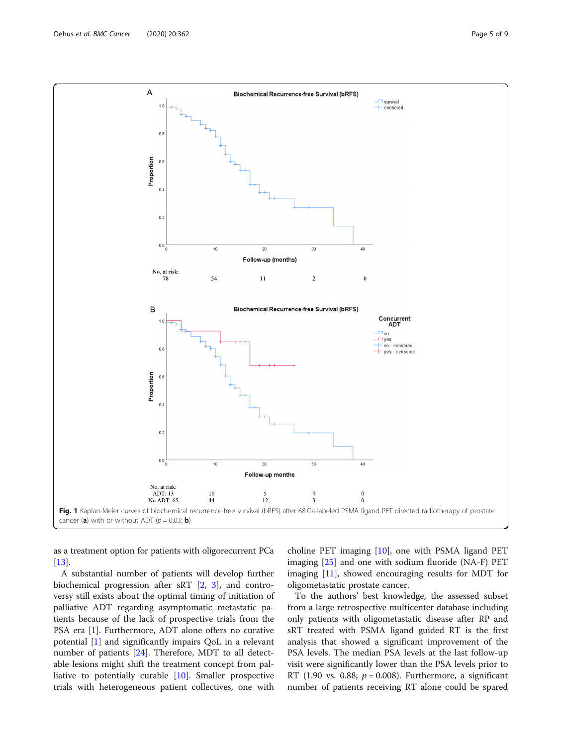<span id="page-4-0"></span>

as a treatment option for patients with oligorecurrent PCa [[13](#page-8-0)].

A substantial number of patients will develop further biochemical progression after sRT [\[2,](#page-7-0) [3](#page-7-0)], and controversy still exists about the optimal timing of initiation of palliative ADT regarding asymptomatic metastatic patients because of the lack of prospective trials from the PSA era [[1\]](#page-7-0). Furthermore, ADT alone offers no curative potential [\[1](#page-7-0)] and significantly impairs QoL in a relevant number of patients [[24\]](#page-8-0). Therefore, MDT to all detectable lesions might shift the treatment concept from palliative to potentially curable [\[10](#page-8-0)]. Smaller prospective trials with heterogeneous patient collectives, one with

choline PET imaging [\[10](#page-8-0)], one with PSMA ligand PET imaging [[25\]](#page-8-0) and one with sodium fluoride (NA-F) PET imaging [[11](#page-8-0)], showed encouraging results for MDT for oligometastatic prostate cancer.

To the authors' best knowledge, the assessed subset from a large retrospective multicenter database including only patients with oligometastatic disease after RP and sRT treated with PSMA ligand guided RT is the first analysis that showed a significant improvement of the PSA levels. The median PSA levels at the last follow-up visit were significantly lower than the PSA levels prior to RT (1.90 vs. 0.88;  $p = 0.008$ ). Furthermore, a significant number of patients receiving RT alone could be spared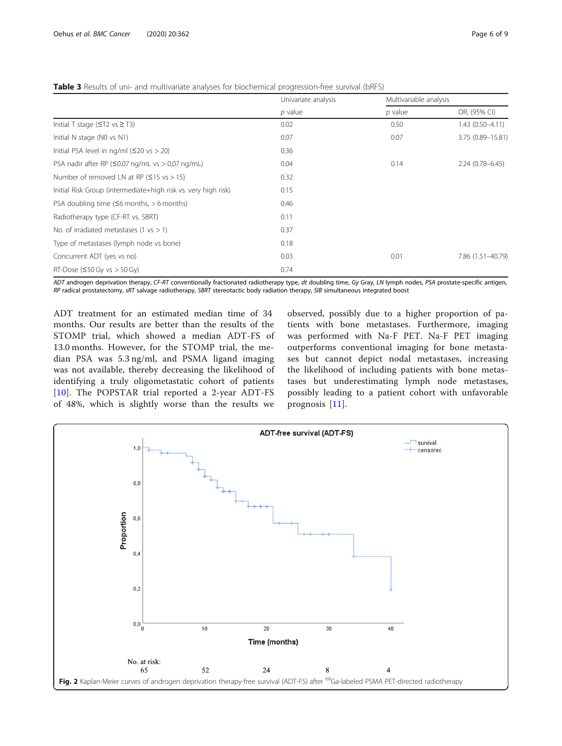<span id="page-5-0"></span>

|                                                                | Univariate analysis<br>$p$ value | Multivariable analysis |                     |
|----------------------------------------------------------------|----------------------------------|------------------------|---------------------|
|                                                                |                                  | $p$ value              | OR, (95% CI)        |
| Initial T stage ( $\leq$ T2 vs $\geq$ T3)                      | 0.02                             | 0.50                   | $1.43(0.50-4.11)$   |
| Initial N stage (NO vs N1)                                     | 0.07                             | 0.07                   | 3.75 (0.89-15.81)   |
| Initial PSA level in $nq/ml$ ( $\leq$ 20 vs $>$ 20)            | 0.36                             |                        |                     |
| PSA nadir after RP ( $\leq$ 0.07 ng/mL vs $>$ 0.07 ng/mL)      | 0.04                             | 0.14                   | $2.24(0.78 - 6.45)$ |
| Number of removed LN at RP ( $\leq$ 15 vs > 15)                | 0.32                             |                        |                     |
| Initial Risk Group (intermediate+high risk vs. very high risk) | 0.15                             |                        |                     |
| PSA doubling time $(56$ months, $> 6$ months)                  | 0.46                             |                        |                     |
| Radiotherapy type (CF-RT vs. SBRT)                             | 0.11                             |                        |                     |
| No. of irradiated metastases (1 $vs > 1$ )                     | 0.37                             |                        |                     |
| Type of metastases (lymph node vs bone)                        | 0.18                             |                        |                     |
| Concurrent ADT (yes vs no)                                     | 0.03                             | 0.01                   | 7.86 (1.51-40.79)   |
| RT-Dose ( $\leq$ 50 Gy vs $>$ 50 Gy)                           | 0.74                             |                        |                     |

ADT androgen deprivation therapy, CF-RT conventionally fractionated radiotherapy type, dt doubling time, Gy Gray, LN lymph nodes, PSA prostate-specific antigen, RP radical prostatectomy, sRT salvage radiotherapy, SBRT stereotactic body radiation therapy, SIB simultaneous integrated boost

ADT treatment for an estimated median time of 34 months. Our results are better than the results of the STOMP trial, which showed a median ADT-FS of 13.0 months. However, for the STOMP trial, the median PSA was 5.3 ng/ml, and PSMA ligand imaging was not available, thereby decreasing the likelihood of identifying a truly oligometastatic cohort of patients [[10](#page-8-0)]. The POPSTAR trial reported a 2-year ADT-FS of 48%, which is slightly worse than the results we

observed, possibly due to a higher proportion of patients with bone metastases. Furthermore, imaging was performed with Na-F PET. Na-F PET imaging outperforms conventional imaging for bone metastases but cannot depict nodal metastases, increasing the likelihood of including patients with bone metastases but underestimating lymph node metastases, possibly leading to a patient cohort with unfavorable prognosis [\[11](#page-8-0)].

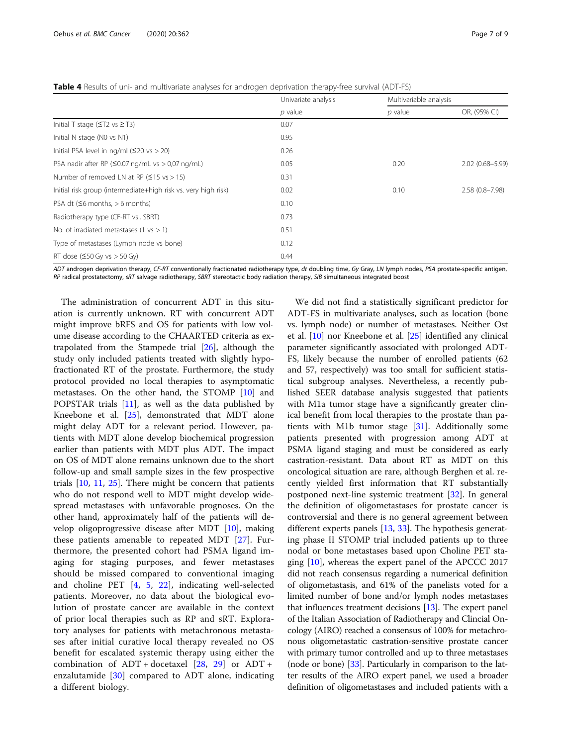<span id="page-6-0"></span>Table 4 Results of uni- and multivariate analyses for androgen deprivation therapy-free survival (ADT-FS)

|                                                                | Univariate analysis<br>$p$ value | Multivariable analysis |                    |
|----------------------------------------------------------------|----------------------------------|------------------------|--------------------|
|                                                                |                                  | $p$ value              | OR, (95% CI)       |
| Initial T stage ( $\leq$ T2 vs $\geq$ T3)                      | 0.07                             |                        |                    |
| Initial N stage (NO vs N1)                                     | 0.95                             |                        |                    |
| Initial PSA level in $nq/ml$ ( $\leq$ 20 vs $>$ 20)            | 0.26                             |                        |                    |
| PSA nadir after RP ( $\leq$ 0.07 ng/mL vs $>$ 0.07 ng/mL)      | 0.05                             | 0.20                   | 2.02 (0.68-5.99)   |
| Number of removed LN at RP ( $\leq$ 15 vs > 15)                | 0.31                             |                        |                    |
| Initial risk group (intermediate+high risk vs. very high risk) | 0.02                             | 0.10                   | $2.58(0.8 - 7.98)$ |
| PSA dt $(56$ months, $> 6$ months)                             | 0.10                             |                        |                    |
| Radiotherapy type (CF-RT vs., SBRT)                            | 0.73                             |                        |                    |
| No. of irradiated metastases (1 $vs > 1$ )                     | 0.51                             |                        |                    |
| Type of metastases (Lymph node vs bone)                        | 0.12                             |                        |                    |
| RT dose $(50 \text{ Gy vs} > 50 \text{ Gy})$                   | 0.44                             |                        |                    |

ADT androgen deprivation therapy, CF-RT conventionally fractionated radiotherapy type, dt doubling time, Gy Gray, LN lymph nodes, PSA prostate-specific antigen, RP radical prostatectomy, sRT salvage radiotherapy, SBRT stereotactic body radiation therapy, SIB simultaneous integrated boost

The administration of concurrent ADT in this situation is currently unknown. RT with concurrent ADT might improve bRFS and OS for patients with low volume disease according to the CHAARTED criteria as extrapolated from the Stampede trial [\[26](#page-8-0)], although the study only included patients treated with slightly hypofractionated RT of the prostate. Furthermore, the study protocol provided no local therapies to asymptomatic metastases. On the other hand, the STOMP [\[10](#page-8-0)] and POPSTAR trials [\[11](#page-8-0)], as well as the data published by Kneebone et al. [[25\]](#page-8-0), demonstrated that MDT alone might delay ADT for a relevant period. However, patients with MDT alone develop biochemical progression earlier than patients with MDT plus ADT. The impact on OS of MDT alone remains unknown due to the short follow-up and small sample sizes in the few prospective trials [[10](#page-8-0), [11](#page-8-0), [25\]](#page-8-0). There might be concern that patients who do not respond well to MDT might develop widespread metastases with unfavorable prognoses. On the other hand, approximately half of the patients will develop oligoprogressive disease after MDT [[10](#page-8-0)], making these patients amenable to repeated MDT [[27\]](#page-8-0). Furthermore, the presented cohort had PSMA ligand imaging for staging purposes, and fewer metastases should be missed compared to conventional imaging and choline PET [[4,](#page-7-0) [5,](#page-7-0) [22](#page-8-0)], indicating well-selected patients. Moreover, no data about the biological evolution of prostate cancer are available in the context of prior local therapies such as RP and sRT. Exploratory analyses for patients with metachronous metastases after initial curative local therapy revealed no OS benefit for escalated systemic therapy using either the combination of  $ADT + docetaxel [28, 29]$  $ADT + docetaxel [28, 29]$  $ADT + docetaxel [28, 29]$  $ADT + docetaxel [28, 29]$  $ADT + docetaxel [28, 29]$  or  $ADT +$ enzalutamide [[30\]](#page-8-0) compared to ADT alone, indicating a different biology.

We did not find a statistically significant predictor for ADT-FS in multivariate analyses, such as location (bone vs. lymph node) or number of metastases. Neither Ost et al. [[10\]](#page-8-0) nor Kneebone et al. [[25](#page-8-0)] identified any clinical parameter significantly associated with prolonged ADT-FS, likely because the number of enrolled patients (62 and 57, respectively) was too small for sufficient statistical subgroup analyses. Nevertheless, a recently published SEER database analysis suggested that patients with M1a tumor stage have a significantly greater clinical benefit from local therapies to the prostate than patients with M1b tumor stage [[31\]](#page-8-0). Additionally some patients presented with progression among ADT at PSMA ligand staging and must be considered as early castration-resistant. Data about RT as MDT on this oncological situation are rare, although Berghen et al. recently yielded first information that RT substantially postponed next-line systemic treatment [\[32](#page-8-0)]. In general the definition of oligometastases for prostate cancer is controversial and there is no general agreement between different experts panels [[13](#page-8-0), [33](#page-8-0)]. The hypothesis generating phase II STOMP trial included patients up to three nodal or bone metastases based upon Choline PET staging  $[10]$  $[10]$ , whereas the expert panel of the APCCC 2017 did not reach consensus regarding a numerical definition of oligometastasis, and 61% of the panelists voted for a limited number of bone and/or lymph nodes metastases that influences treatment decisions [[13](#page-8-0)]. The expert panel of the Italian Association of Radiotherapy and Clincial Oncology (AIRO) reached a consensus of 100% for metachronous oligometastatic castration-sensitive prostate cancer with primary tumor controlled and up to three metastases (node or bone) [\[33\]](#page-8-0). Particularly in comparison to the latter results of the AIRO expert panel, we used a broader definition of oligometastases and included patients with a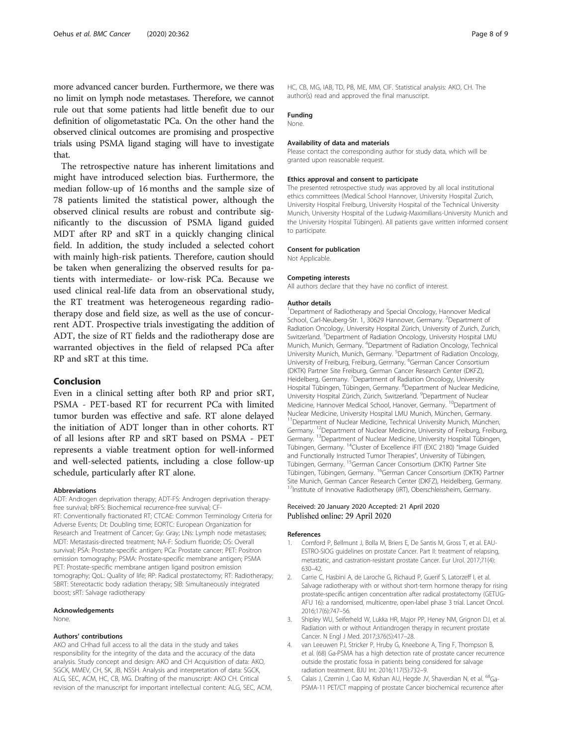<span id="page-7-0"></span>more advanced cancer burden. Furthermore, we there was no limit on lymph node metastases. Therefore, we cannot rule out that some patients had little benefit due to our definition of oligometastatic PCa. On the other hand the observed clinical outcomes are promising and prospective trials using PSMA ligand staging will have to investigate that.

The retrospective nature has inherent limitations and might have introduced selection bias. Furthermore, the median follow-up of 16 months and the sample size of 78 patients limited the statistical power, although the observed clinical results are robust and contribute significantly to the discussion of PSMA ligand guided MDT after RP and sRT in a quickly changing clinical field. In addition, the study included a selected cohort with mainly high-risk patients. Therefore, caution should be taken when generalizing the observed results for patients with intermediate- or low-risk PCa. Because we used clinical real-life data from an observational study, the RT treatment was heterogeneous regarding radiotherapy dose and field size, as well as the use of concurrent ADT. Prospective trials investigating the addition of ADT, the size of RT fields and the radiotherapy dose are warranted objectives in the field of relapsed PCa after RP and sRT at this time.

## Conclusion

Even in a clinical setting after both RP and prior sRT, PSMA - PET-based RT for recurrent PCa with limited tumor burden was effective and safe. RT alone delayed the initiation of ADT longer than in other cohorts. RT of all lesions after RP and sRT based on PSMA - PET represents a viable treatment option for well-informed and well-selected patients, including a close follow-up schedule, particularly after RT alone.

#### Abbreviations

ADT: Androgen deprivation therapy; ADT-FS: Androgen deprivation therapyfree survival; bRFS: Biochemical recurrence-free survival; CF-RT: Conventionally fractionated RT; CTCAE: Common Terminology Criteria for Adverse Events; Dt: Doubling time; EORTC: European Organization for Research and Treatment of Cancer; Gy: Gray; LNs: Lymph node metastases; MDT: Metastasis-directed treatment; NA-F: Sodium fluoride; OS: Overall survival; PSA: Prostate-specific antigen; PCa: Prostate cancer; PET: Positron emission tomography; PSMA: Prostate-specific membrane antigen; PSMA PET: Prostate-specific membrane antigen ligand positron emission tomography; QoL: Quality of life; RP: Radical prostatectomy; RT: Radiotherapy; SBRT: Stereotactic body radiation therapy; SIB: Simultaneously integrated boost; sRT: Salvage radiotherapy

#### Acknowledgements

None.

### Authors' contributions

AKO and CHhad full access to all the data in the study and takes responsibility for the integrity of the data and the accuracy of the data analysis. Study concept and design: AKO and CH Acquisition of data: AKO, SGCK, MMEV, CH, SK, JB, NSSH. Analysis and interpretation of data: SGCK, ALG, SEC, ACM, HC, CB, MG. Drafting of the manuscript: AKO CH. Critical revision of the manuscript for important intellectual content: ALG, SEC, ACM, HC, CB, MG, IAB, TD, PB, ME, MM, ClF. Statistical analysis: AKO, CH. The author(s) read and approved the final manuscript.

#### Funding

None.

#### Availability of data and materials

Please contact the corresponding author for study data, which will be granted upon reasonable request.

#### Ethics approval and consent to participate

The presented retrospective study was approved by all local institutional ethics committees (Medical School Hannover, University Hospital Zurich, University Hospital Freiburg, University Hospital of the Technical University Munich, University Hospital of the Ludwig-Maximilians-University Munich and the University Hospital Tübingen). All patients gave written informed consent to participate.

## Consent for publication

Not Applicable.

#### Competing interests

All authors declare that they have no conflict of interest.

#### Author details

<sup>1</sup>Department of Radiotherapy and Special Oncology, Hannover Medical School, Carl-Neuberg-Str. 1, 30629 Hannover, Germany. <sup>2</sup>Department of Radiation Oncology, University Hospital Zürich, University of Zurich, Zurich, Switzerland. <sup>3</sup>Department of Radiation Oncology, University Hospital LMU Munich, Munich, Germany. <sup>4</sup> Department of Radiation Oncology, Technical University Munich, Munich, Germany. <sup>5</sup>Department of Radiation Oncology, University of Freiburg, Freiburg, Germany. <sup>6</sup>German Cancer Consortium (DKTK) Partner Site Freiburg, German Cancer Research Center (DKFZ), Heidelberg, Germany. <sup>7</sup> Department of Radiation Oncology, University Hospital Tübingen, Tübingen, Germany. <sup>8</sup>Department of Nuclear Medicine University Hospital Zürich, Zürich, Switzerland. <sup>9</sup>Department of Nuclear Medicine, Hannover Medical School, Hanover, Germany. <sup>10</sup>Department of Nuclear Medicine, University Hospital LMU Munich, München, Germany. <sup>11</sup>Department of Nuclear Medicine, Technical University Munich, München, Germany. 12Department of Nuclear Medicine, University of Freiburg, Freiburg, Germany. 13Department of Nuclear Medicine, University Hospital Tübingen, Tübingen, Germany. 14Cluster of Excellence iFIT (EXC 2180) "Image Guided and Functionally Instructed Tumor Therapies", University of Tübingen, Tübingen, Germany. 15German Cancer Consortium (DKTK) Partner Site Tübingen, Tübingen, Germany. 16German Cancer Consortium (DKTK) Partner Site Munich, German Cancer Research Center (DKFZ), Heidelberg, Germany. <sup>17</sup>Institute of Innovative Radiotherapy (iRT), Oberschleissheim, Germany.

#### Received: 20 January 2020 Accepted: 21 April 2020 Published online: 29 April 2020

#### References

- 1. Cornford P, Bellmunt J, Bolla M, Briers E, De Santis M, Gross T, et al. EAU-ESTRO-SIOG guidelines on prostate Cancer. Part II: treatment of relapsing, metastatic, and castration-resistant prostate Cancer. Eur Urol. 2017;71(4): 630–42.
- 2. Carrie C, Hasbini A, de Laroche G, Richaud P, Guerif S, Latorzeff I, et al. Salvage radiotherapy with or without short-term hormone therapy for rising prostate-specific antigen concentration after radical prostatectomy (GETUG-AFU 16): a randomised, multicentre, open-label phase 3 trial. Lancet Oncol. 2016;17(6):747–56.
- 3. Shipley WU, Seiferheld W, Lukka HR, Major PP, Heney NM, Grignon DJ, et al. Radiation with or without Antiandrogen therapy in recurrent prostate Cancer. N Engl J Med. 2017;376(5):417–28.
- 4. van Leeuwen PJ, Stricker P, Hruby G, Kneebone A, Ting F, Thompson B, et al. (68) Ga-PSMA has a high detection rate of prostate cancer recurrence outside the prostatic fossa in patients being considered for salvage radiation treatment. BJU Int. 2016;117(5):732–9.
- 5. Calais J, Czernin J, Cao M, Kishan AU, Hegde JV, Shaverdian N, et al. <sup>68</sup>Ga-PSMA-11 PET/CT mapping of prostate Cancer biochemical recurrence after